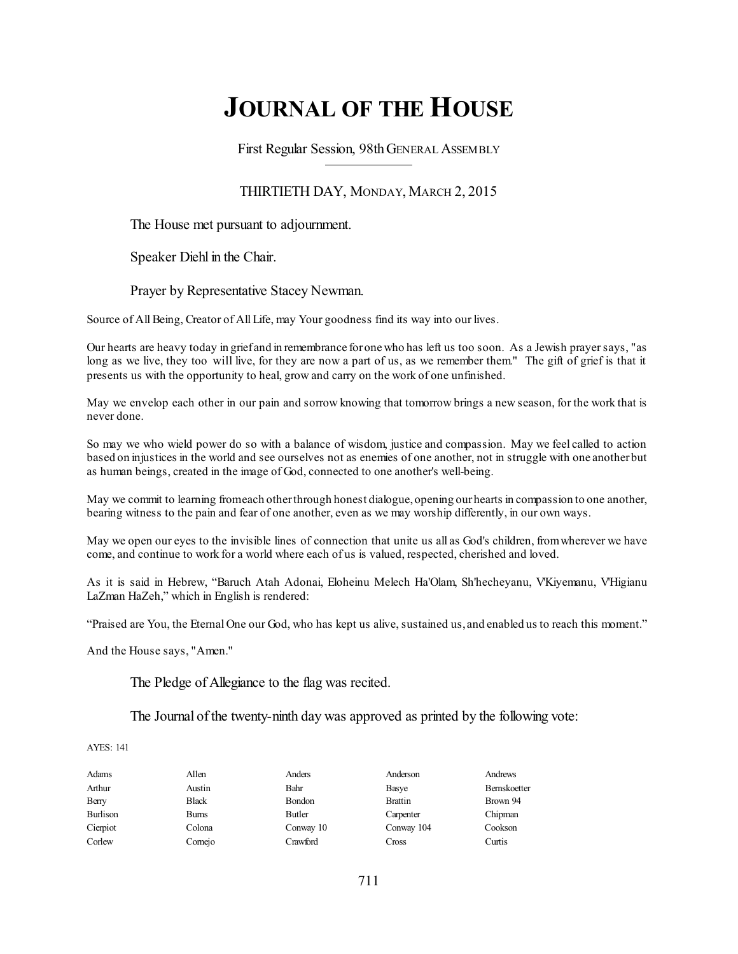# **JOURNAL OF THE HOUSE**

First Regular Session, 98thGENERAL ASSEMBLY

# THIRTIETH DAY, MONDAY, MARCH 2, 2015

The House met pursuant to adjournment.

Speaker Diehl in the Chair.

Prayer by Representative Stacey Newman.

Source of All Being, Creator of All Life, may Your goodness find its way into our lives.

Our hearts are heavy today in grief and in remembrance forone who has left us too soon. As a Jewish prayersays, "as long as we live, they too will live, for they are now a part of us, as we remember them." The gift of grief is that it presents us with the opportunity to heal, grow and carry on the work of one unfinished.

May we envelop each other in our pain and sorrow knowing that tomorrow brings a new season, for the work that is never done.

So may we who wield power do so with a balance of wisdom, justice and compassion. May we feel called to action based on injustices in the world and see ourselves not as enemies of one another, not in struggle with one anotherbut as human beings, created in the image of God, connected to one another's well-being.

May we commit to learning fromeach otherthrough honest dialogue,opening ourhearts in compassion to one another, bearing witness to the pain and fear of one another, even as we may worship differently, in our own ways.

May we open our eyes to the invisible lines of connection that unite us all as God's children, fromwherever we have come, and continue to work for a world where each of us is valued, respected, cherished and loved.

As it is said in Hebrew, "Baruch Atah Adonai, Eloheinu Melech Ha'Olam, Sh'hecheyanu, V'Kiyemanu, V'Higianu LaZman HaZeh," which in English is rendered:

"Praised are You, the Eternal One our God, who has kept us alive, sustained us, and enabled us to reach this moment."

And the House says, "Amen."

The Pledge of Allegiance to the flag was recited.

The Journal of the twenty-ninth day was approved as printed by the following vote:

AYES: 141

| Adams    | Allen        | Anders    | Anderson       | Andrews      |
|----------|--------------|-----------|----------------|--------------|
| Arthur   | Austin       | Bahr      | Basye          | Bernskoetter |
| Berry    | <b>Black</b> | Bondon    | <b>Brattin</b> | Brown 94     |
| Burlison | Burns        | Butler    | Carpenter      | Chipman      |
| Cierpiot | Colona       | Conway 10 | Conway 104     | Cookson      |
| Corlew   | Cornejo      | Crawford  | Cross          | Curtis       |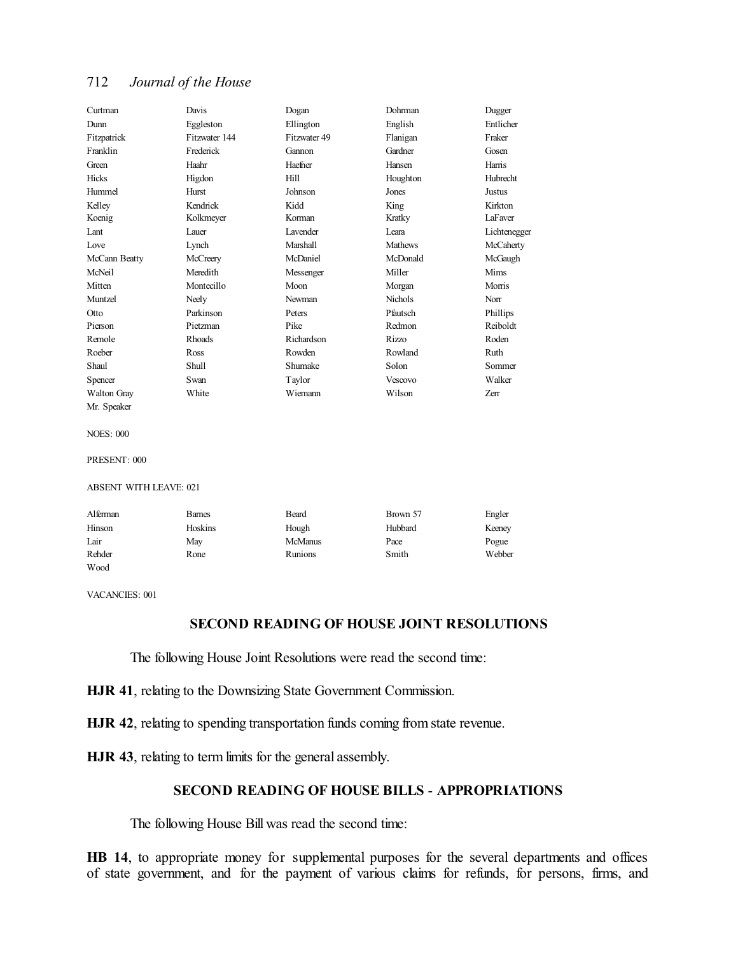| Curtman            | Davis         | Dogan           | Dohrman        | Dugger          |
|--------------------|---------------|-----------------|----------------|-----------------|
| Dunn               | Eggleston     | Ellington       | English        | Entlicher       |
| Fitzpatrick        | Fitzwater 144 | Fitzwater 49    | Flanigan       | Fraker          |
| Franklin           | Frederick     | Gannon          | Gardner        | Gosen           |
| Green              | Haahr         | Haefner         | Hansen         | Harris          |
| <b>Hicks</b>       | Higdon        | Hill            | Houghton       | <b>Hubrecht</b> |
| Hummel             | Hurst         | Johnson         | Jones          | Justus          |
| Kelley             | Kendrick      | Kidd            | King           | Kirkton         |
| Koenig             | Kolkmeyer     | Korman          | Kratky         | LaFaver         |
| Lant               | Lauer         | <b>Lavender</b> | Leara          | Lichtenegger    |
| Love               | Lynch         | Marshall        | <b>Mathews</b> | McCaherty       |
| McCann Beatty      | McCreery      | McDaniel        | McDonald       | McGaugh         |
| McNeil             | Meredith      | Messenger       | Miller         | Mims            |
| Mitten             | Montecillo    | Moon            | Morgan         | Morris          |
| Muntzel            | Neely         | Newman          | <b>Nichols</b> | Norr            |
| Otto               | Parkinson     | Peters          | Pfautsch       | Phillips        |
| Pierson            | Pietzman      | Pike            | Redmon         | Reiboldt        |
| Remole             | Rhoads        | Richardson      | Rizzo          | Roden           |
| Roeber             | Ross          | Rowden          | Rowland        | Ruth            |
| Shaul              | Shull         | Shumake         | Solon          | Sommer          |
| Spencer            | Swan          | Taylor          | Vescovo        | Walker          |
| <b>Walton Gray</b> | White         | Wiemann         | Wilson         | Zerr            |
| Mr. Speaker        |               |                 |                |                 |
|                    |               |                 |                |                 |
| <b>NOES: 000</b>   |               |                 |                |                 |

PRESENT: 000

#### ABSENT WITH LEAVE: 021

| Alferman | <b>Barnes</b> | Beard          | Brown 57 | Engler |
|----------|---------------|----------------|----------|--------|
| Hinson   | Hoskins       | Hough          | Hubbard  | Keeney |
| Lair     | May           | <b>McManus</b> | Pace     | Pogue  |
| Rehder   | Rone          | <b>Runions</b> | Smith    | Webber |
| Wood     |               |                |          |        |

VACANCIES: 001

# **SECOND READING OF HOUSE JOINT RESOLUTIONS**

The following House Joint Resolutions were read the second time:

**HJR 41**, relating to the Downsizing State Government Commission.

**HJR 42**, relating to spending transportation funds coming from state revenue.

**HJR 43**, relating to term limits for the general assembly.

# **SECOND READING OF HOUSE BILLS** - **APPROPRIATIONS**

The following House Bill was read the second time:

**HB 14**, to appropriate money for supplemental purposes for the several departments and offices of state government, and for the payment of various claims for refunds, for persons, firms, and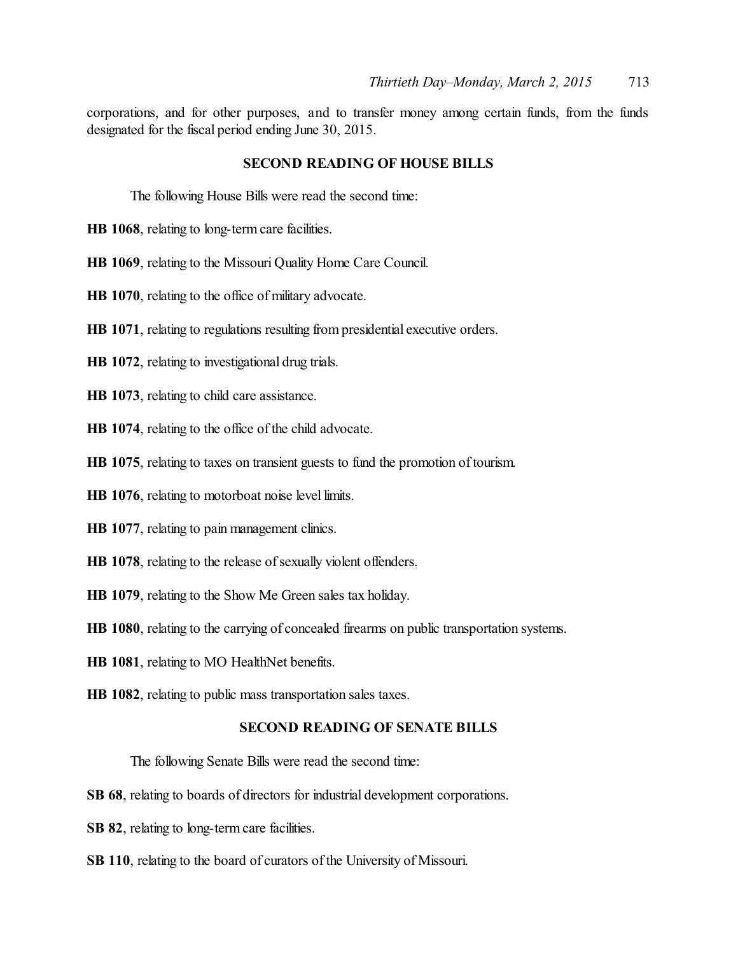corporations, and for other purposes, and to transfer money among certain funds, from the funds designated for the fiscal period ending June 30, 2015.

## **SECOND READING OF HOUSE BILLS**

The following House Bills were read the second time:

- **HB 1068**, relating to long-term care facilities.
- **HB 1069**, relating to the Missouri Quality Home Care Council.
- **HB 1070**, relating to the office of military advocate.
- **HB 1071**, relating to regulations resulting from presidential executive orders.
- **HB 1072**, relating to investigational drug trials.
- **HB 1073**, relating to child care assistance.
- **HB 1074**, relating to the office of the child advocate.
- **HB 1075**, relating to taxes on transient guests to fund the promotion of tourism.
- **HB 1076**, relating to motorboat noise level limits.
- **HB 1077**, relating to pain management clinics.
- HB 1078, relating to the release of sexually violent offenders.
- **HB 1079**, relating to the Show Me Green sales tax holiday.
- **HB 1080**, relating to the carrying of concealed firearms on public transportation systems.
- **HB 1081**, relating to MO HealthNet benefits.
- **HB 1082**, relating to public mass transportation sales taxes.

## **SECOND READING OF SENATE BILLS**

The following Senate Bills were read the second time:

- **SB 68**, relating to boards of directors for industrial development corporations.
- **SB 82**, relating to long-term care facilities.
- **SB 110**, relating to the board of curators of the University of Missouri.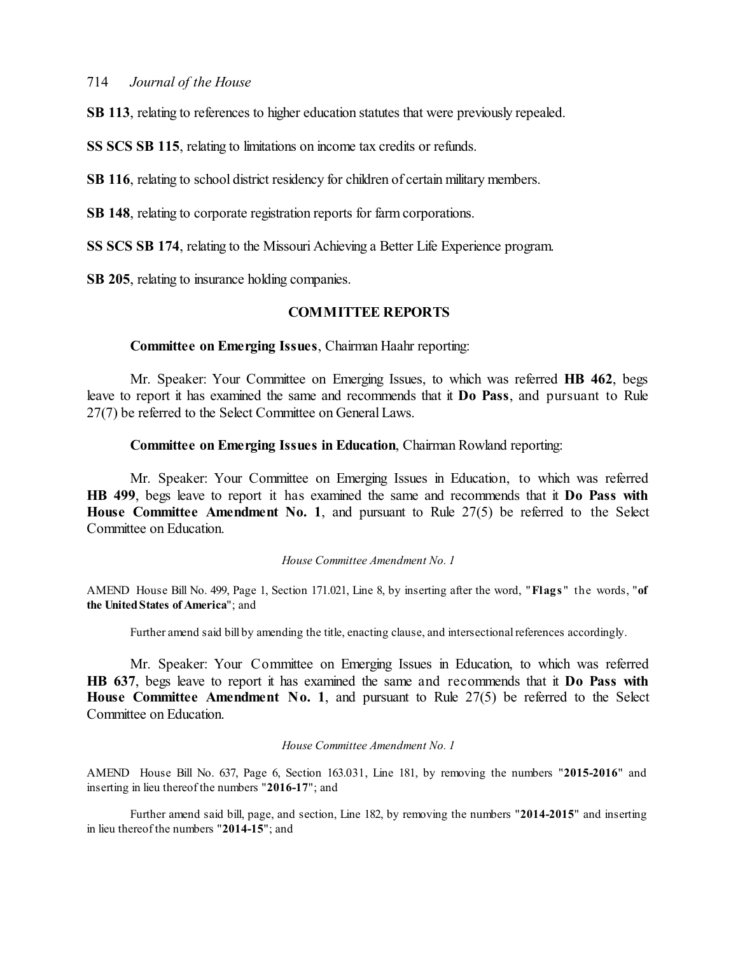**SB 113**, relating to references to higher education statutes that were previously repealed.

**SS SCS SB 115**, relating to limitations on income tax credits or refunds.

**SB 116**, relating to school district residency for children of certain military members.

**SB 148**, relating to corporate registration reports for farm corporations.

**SS SCS SB 174**, relating to the Missouri Achieving a Better Life Experience program.

**SB 205**, relating to insurance holding companies.

# **COMMITTEE REPORTS**

## **Committee on Emerging Issues**, Chairman Haahr reporting:

Mr. Speaker: Your Committee on Emerging Issues, to which was referred **HB 462**, begs leave to report it has examined the same and recommends that it **Do Pass**, and pursuant to Rule 27(7) be referred to the Select Committee on General Laws.

## **Committee on Emerging Issues in Education**, Chairman Rowland reporting:

Mr. Speaker: Your Committee on Emerging Issues in Education, to which was referred **HB 499**, begs leave to report it has examined the same and recommends that it **Do Pass with House Committee Amendment No. 1**, and pursuant to Rule 27(5) be referred to the Select Committee on Education.

#### *House Committee Amendment No. 1*

AMEND House Bill No. 499, Page 1, Section 171.021, Line 8, by inserting after the word, "**Flags** " the words, "**of the UnitedStates of America**"; and

Further amend said bill by amending the title, enacting clause, and intersectional references accordingly.

Mr. Speaker: Your Committee on Emerging Issues in Education, to which was referred **HB 637**, begs leave to report it has examined the same and recommends that it **Do Pass with House Committee Amendment No. 1**, and pursuant to Rule 27(5) be referred to the Select Committee on Education.

#### *House Committee Amendment No. 1*

AMEND House Bill No. 637, Page 6, Section 163.031, Line 181, by removing the numbers "**2015-2016**" and inserting in lieu thereof the numbers "**2016-17**"; and

Further amend said bill, page, and section, Line 182, by removing the numbers "**2014-2015**" and inserting in lieu thereof the numbers "**2014-15**"; and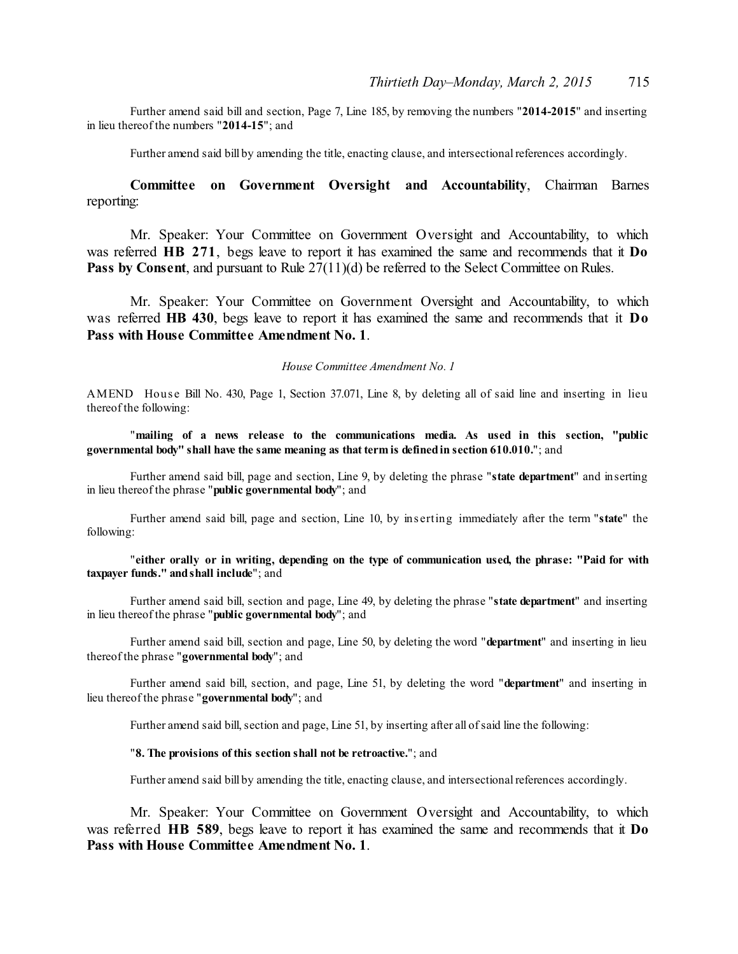Further amend said bill and section, Page 7, Line 185, by removing the numbers "**2014-2015**" and inserting in lieu thereof the numbers "**2014-15**"; and

Further amend said bill by amending the title, enacting clause, and intersectional references accordingly.

# **Committee on Government Oversight and Accountability**, Chairman Barnes reporting:

Mr. Speaker: Your Committee on Government Oversight and Accountability, to which was referred **HB 271**, begs leave to report it has examined the same and recommends that it **Do Pass by Consent**, and pursuant to Rule  $27(11)(d)$  be referred to the Select Committee on Rules.

Mr. Speaker: Your Committee on Government Oversight and Accountability, to which was referred **HB 430**, begs leave to report it has examined the same and recommends that it **Do Pass with House Committee Amendment No. 1**.

#### *House Committee Amendment No. 1*

AMEND House Bill No. 430, Page 1, Section 37.071, Line 8, by deleting all of said line and inserting in lieu thereof the following:

"**mailing of a news release to the communications media. As used in this section, "public governmental body" shall have the same meaning as that term is definedin section 610.010.**"; and

Further amend said bill, page and section, Line 9, by deleting the phrase "**state department**" and inserting in lieu thereof the phrase "**public governmental body**"; and

Further amend said bill, page and section, Line 10, by ins erting immediately after the term "**state**" the following:

#### "**either orally or in writing, depending on the type of communication used, the phrase: "Paid for with taxpayer funds." andshall include**"; and

Further amend said bill, section and page, Line 49, by deleting the phrase "**state department**" and inserting in lieu thereof the phrase "**public governmental body**"; and

Further amend said bill, section and page, Line 50, by deleting the word "**department**" and inserting in lieu thereof the phrase "**governmental body**"; and

Further amend said bill, section, and page, Line 51, by deleting the word "**department**" and inserting in lieu thereof the phrase "**governmental body**"; and

Further amend said bill, section and page, Line 51, by inserting after all of said line the following:

#### "**8. The provisions of this section shall not be retroactive.**"; and

Further amend said bill by amending the title, enacting clause, and intersectional references accordingly.

Mr. Speaker: Your Committee on Government Oversight and Accountability, to which was referred **HB 589**, begs leave to report it has examined the same and recommends that it **Do Pass with House Committee Amendment No. 1**.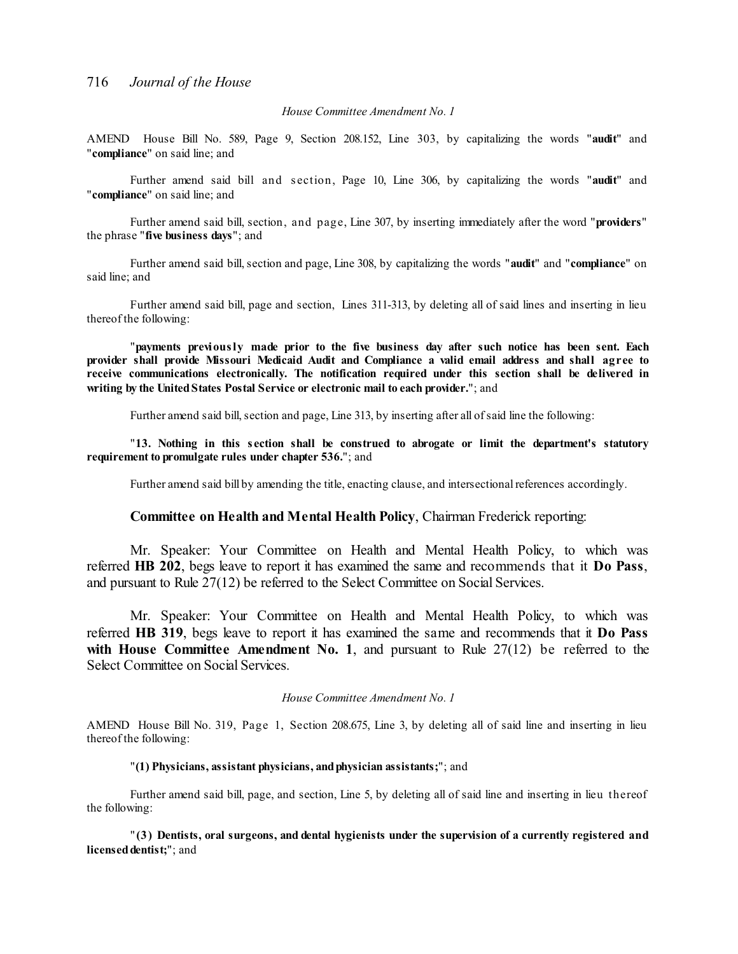#### *House Committee Amendment No. 1*

AMEND House Bill No. 589, Page 9, Section 208.152, Line 303, by capitalizing the words "**audit**" and "**compliance**" on said line; and

Further amend said bill and s ection, Page 10, Line 306, by capitalizing the words "**audit**" and "**compliance**" on said line; and

Further amend said bill, section, and page, Line 307, by inserting immediately after the word "**providers**" the phrase "**five business days**"; and

Further amend said bill, section and page, Line 308, by capitalizing the words "**audit**" and "**compliance**" on said line; and

Further amend said bill, page and section, Lines 311-313, by deleting all of said lines and inserting in lieu thereof the following:

"**payments previously made prior to the five business day after such notice has been sent. Each provider shall provide Missouri Medicaid Audit and Compliance a valid email address and shall agree to receive communications electronically. The notification required under this section shall be delivered in writing by the UnitedStates Postal Service or electronic mail to each provider.**"; and

Further amend said bill, section and page, Line 313, by inserting after all of said line the following:

"**13. Nothing in this s ection shall be construed to abrogate or limit the department's statutory requirement to promulgate rules under chapter 536.**"; and

Further amend said bill by amending the title, enacting clause, and intersectional references accordingly.

# **Committee on Health and Mental Health Policy**, Chairman Frederick reporting:

Mr. Speaker: Your Committee on Health and Mental Health Policy, to which was referred **HB 202**, begs leave to report it has examined the same and recommends that it **Do Pass**, and pursuant to Rule 27(12) be referred to the Select Committee on Social Services.

Mr. Speaker: Your Committee on Health and Mental Health Policy, to which was referred **HB 319**, begs leave to report it has examined the same and recommends that it **Do Pass with House Committee Amendment No. 1**, and pursuant to Rule 27(12) be referred to the Select Committee on Social Services.

#### *House Committee Amendment No. 1*

AMEND House Bill No. 319, Page 1, Section 208.675, Line 3, by deleting all of said line and inserting in lieu thereof the following:

#### "**(1) Physicians, assistant physicians, andphysician assistants;**"; and

Further amend said bill, page, and section, Line 5, by deleting all of said line and inserting in lieu thereof the following:

" **(3) Dentists, oral surgeons, and dental hygienists under the supervision of a currently registered and licenseddentist;**"; and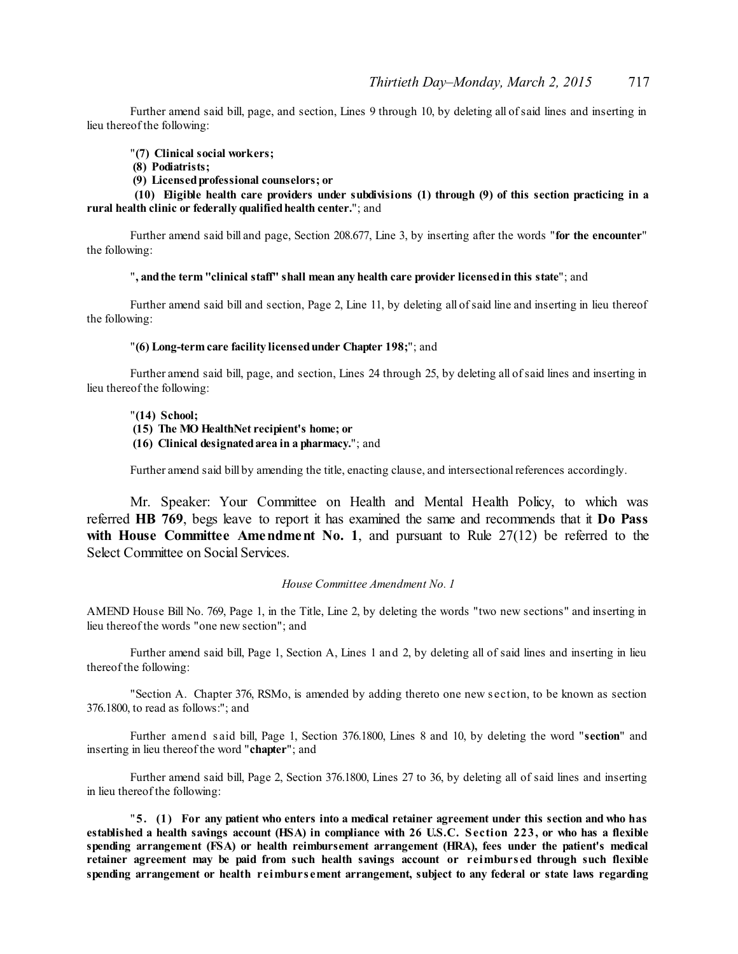Further amend said bill, page, and section, Lines 9 through 10, by deleting all ofsaid lines and inserting in lieu thereof the following:

"**(7) Clinical social workers;**

- **(8) Podiatrists;**
- **(9) Licensedprofessional counselors; or**

**(10) Eligible health care providers under subdivisions (1) through (9) of this section practicing in a rural health clinic or federally qualifiedhealth center.**"; and

Further amend said bill and page, Section 208.677, Line 3, by inserting after the words "**for the encounter**" the following:

"**, andthe term "clinical staff" shall mean any health care provider licensedin this state**"; and

Further amend said bill and section, Page 2, Line 11, by deleting all ofsaid line and inserting in lieu thereof the following:

#### "**(6) Long-term care facility licensedunder Chapter 198;**"; and

Further amend said bill, page, and section, Lines 24 through 25, by deleting all ofsaid lines and inserting in lieu thereof the following:

"**(14) School;**

- **(15) The MO HealthNet recipient's home; or**
- **(16) Clinical designatedarea in a pharmacy.**"; and

Further amend said bill by amending the title, enacting clause, and intersectional references accordingly.

Mr. Speaker: Your Committee on Health and Mental Health Policy, to which was referred **HB 769**, begs leave to report it has examined the same and recommends that it **Do Pass with House Committee Amendment No. 1**, and pursuant to Rule 27(12) be referred to the Select Committee on Social Services.

#### *House Committee Amendment No. 1*

AMEND House Bill No. 769, Page 1, in the Title, Line 2, by deleting the words "two new sections" and inserting in lieu thereof the words "one new section"; and

Further amend said bill, Page 1, Section A, Lines 1 and 2, by deleting all of said lines and inserting in lieu thereof the following:

"Section A. Chapter 376, RSMo, is amended by adding thereto one new s ection, to be known as section 376.1800, to read as follows:"; and

Further amend s aid bill, Page 1, Section 376.1800, Lines 8 and 10, by deleting the word "**section**" and inserting in lieu thereof the word "**chapter**"; and

Further amend said bill, Page 2, Section 376.1800, Lines 27 to 36, by deleting all of said lines and inserting in lieu thereof the following:

"5. (1) For any patient who enters into a medical retainer agreement under this section and who has established a health savings account (HSA) in compliance with 26 U.S.C. Section 223, or who has a flexible **spending arrangement (FSA) or health reimbursement arrangement (HRA), fees under the patient's medical retainer agreement may be paid from such health savings account or reimburs ed through such flexible spending arrangement or health reimburs ement arrangement, subject to any federal or state laws regarding**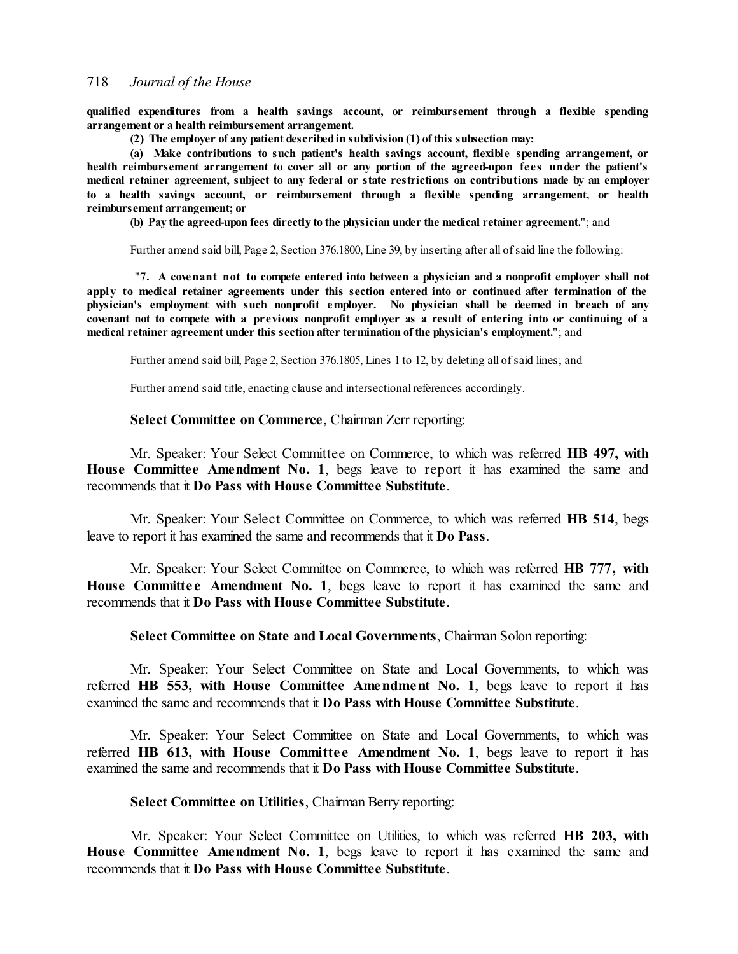**qualified expenditures from a health savings account, or reimbursement through a flexible spending arrangement or a health reimbursement arrangement.**

**(2) The employer of any patient describedin subdivision (1) of this subsection may:**

**(a) Make contributions to such patient's health savings account, flexible spending arrangement, or health reimbursement arrangement to cover all or any portion of the agreed-upon fees under the patient's medical retainer agreement, subject to any federal or state restrictions on contributions made by an employer to a health savings account, or reimbursement through a flexible spending arrangement, or health reimbursement arrangement; or**

**(b) Pay the agreed-upon fees directly to the physician under the medical retainer agreement.**"; and

Further amend said bill, Page 2, Section 376.1800, Line 39, by inserting after all ofsaid line the following:

"**7. A covenant not to compete entered into between a physician and a nonprofit employer shall not apply to medical retainer agreements under this section entered into or continued after termination of the physician's employment with such nonprofit employer. No physician shall be deemed in breach of any** covenant not to compete with a previous nonprofit employer as a result of entering into or continuing of a **medical retainer agreement under this section after termination of the physician's employment.**"; and

Further amend said bill, Page 2, Section 376.1805, Lines 1 to 12, by deleting all ofsaid lines; and

Further amend said title, enacting clause and intersectional references accordingly.

## **Select Committee on Commerce**, Chairman Zerr reporting:

Mr. Speaker: Your Select Committee on Commerce, to which was referred **HB 497, with House Committee Amendment No. 1**, begs leave to report it has examined the same and recommends that it **Do Pass with House Committee Substitute**.

Mr. Speaker: Your Select Committee on Commerce, to which was referred **HB 514**, begs leave to report it has examined the same and recommends that it **Do Pass**.

Mr. Speaker: Your Select Committee on Commerce, to which was referred **HB 777, with House Committee Amendment No. 1, begs leave to report it has examined the same and** recommends that it **Do Pass with House Committee Substitute**.

**Select Committee on State and Local Governments**, Chairman Solon reporting:

Mr. Speaker: Your Select Committee on State and Local Governments, to which was referred **HB 553, with House Committee Amendment No. 1**, begs leave to report it has examined the same and recommends that it **Do Pass with House Committee Substitute**.

Mr. Speaker: Your Select Committee on State and Local Governments, to which was referred **HB 613, with House Committe e Amendment No. 1**, begs leave to report it has examined the same and recommends that it **Do Pass with House Committee Substitute**.

**Select Committee on Utilities**, Chairman Berry reporting:

Mr. Speaker: Your Select Committee on Utilities, to which was referred **HB 203, with House Committee Amendment No. 1**, begs leave to report it has examined the same and recommends that it **Do Pass with House Committee Substitute**.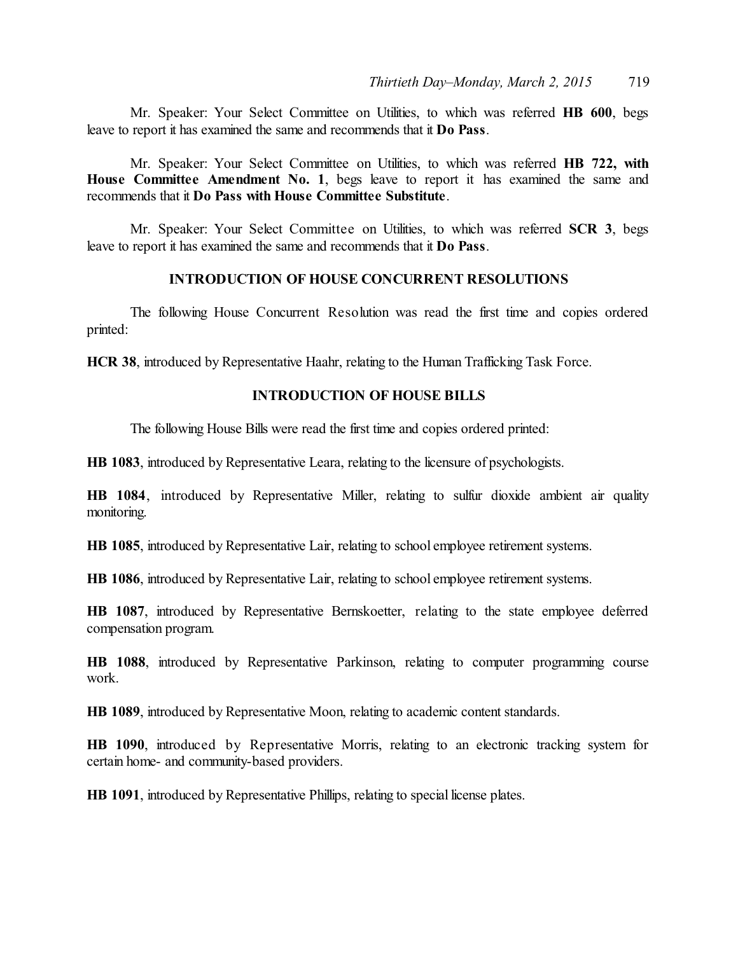Mr. Speaker: Your Select Committee on Utilities, to which was referred **HB 600**, begs leave to report it has examined the same and recommends that it **Do Pass**.

Mr. Speaker: Your Select Committee on Utilities, to which was referred **HB 722, with House Committee Amendment No. 1**, begs leave to report it has examined the same and recommends that it **Do Pass with House Committee Substitute**.

Mr. Speaker: Your Select Committee on Utilities, to which was referred **SCR 3**, begs leave to report it has examined the same and recommends that it **Do Pass**.

# **INTRODUCTION OF HOUSE CONCURRENT RESOLUTIONS**

The following House Concurrent Resolution was read the first time and copies ordered printed:

**HCR 38**, introduced by Representative Haahr, relating to the Human Trafficking Task Force.

# **INTRODUCTION OF HOUSE BILLS**

The following House Bills were read the first time and copies ordered printed:

**HB 1083**, introduced by Representative Leara, relating to the licensure of psychologists.

**HB 1084**, introduced by Representative Miller, relating to sulfur dioxide ambient air quality monitoring.

**HB 1085**, introduced by Representative Lair, relating to school employee retirement systems.

**HB 1086**, introduced by Representative Lair, relating to school employee retirement systems.

**HB 1087**, introduced by Representative Bernskoetter, relating to the state employee deferred compensation program.

**HB 1088**, introduced by Representative Parkinson, relating to computer programming course work.

**HB 1089**, introduced by Representative Moon, relating to academic content standards.

**HB 1090**, introduced by Representative Morris, relating to an electronic tracking system for certain home- and community-based providers.

**HB 1091**, introduced by Representative Phillips, relating to special license plates.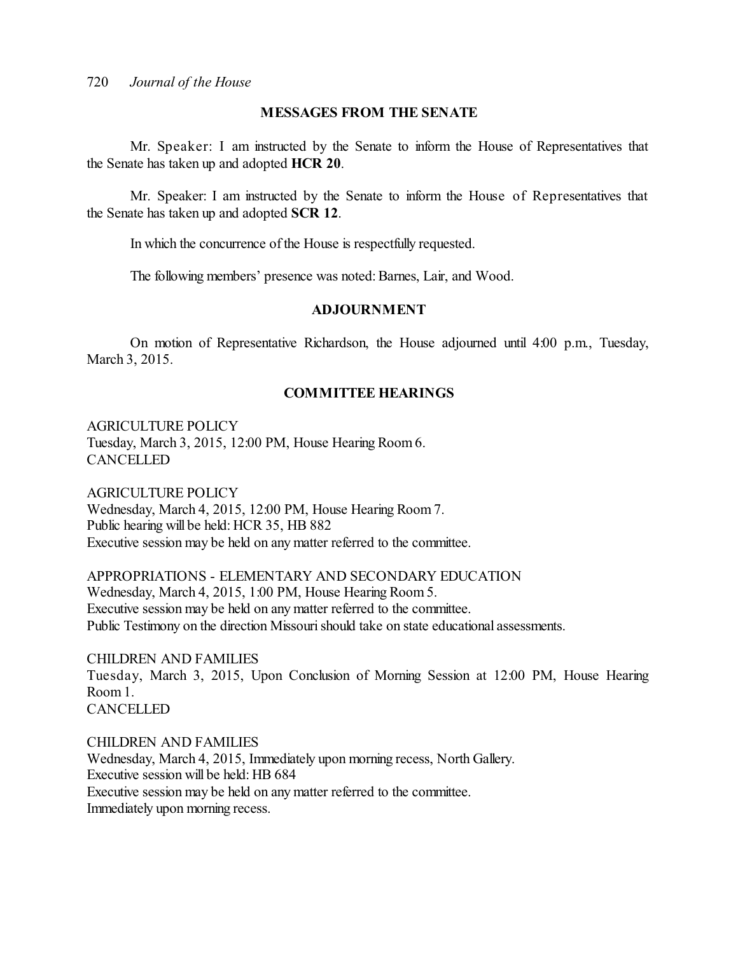# **MESSAGES FROM THE SENATE**

Mr. Speaker: I am instructed by the Senate to inform the House of Representatives that the Senate has taken up and adopted **HCR 20**.

Mr. Speaker: I am instructed by the Senate to inform the House of Representatives that the Senate has taken up and adopted **SCR 12**.

In which the concurrence of the House is respectfully requested.

The following members' presence was noted: Barnes, Lair, and Wood.

# **ADJOURNMENT**

On motion of Representative Richardson, the House adjourned until 4:00 p.m., Tuesday, March 3, 2015.

# **COMMITTEE HEARINGS**

AGRICULTURE POLICY Tuesday, March 3, 2015, 12:00 PM, House Hearing Room 6. **CANCELLED** 

AGRICULTURE POLICY Wednesday, March 4, 2015, 12:00 PM, House Hearing Room 7. Public hearing will be held: HCR 35, HB 882 Executive session may be held on any matter referred to the committee.

APPROPRIATIONS - ELEMENTARY AND SECONDARY EDUCATION Wednesday, March 4, 2015, 1:00 PM, House Hearing Room 5. Executive session may be held on any matter referred to the committee. Public Testimony on the direction Missouri should take on state educational assessments.

CHILDREN AND FAMILIES Tuesday, March 3, 2015, Upon Conclusion of Morning Session at 12:00 PM, House Hearing Room 1. **CANCELLED** 

CHILDREN AND FAMILIES Wednesday, March 4, 2015, Immediately upon morning recess, North Gallery. Executive session will be held: HB 684 Executive session may be held on any matter referred to the committee. Immediately upon morning recess.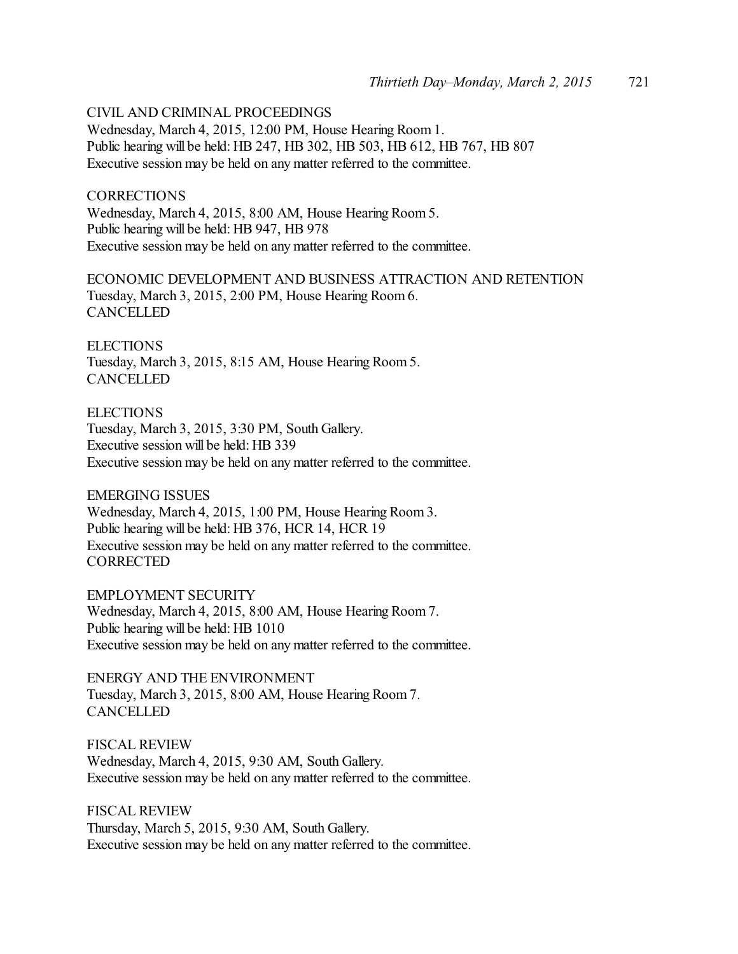CIVIL AND CRIMINAL PROCEEDINGS

Wednesday, March 4, 2015, 12:00 PM, House Hearing Room 1. Public hearing will be held: HB 247, HB 302, HB 503, HB 612, HB 767, HB 807 Executive session may be held on any matter referred to the committee.

**CORRECTIONS** Wednesday, March 4, 2015, 8:00 AM, House Hearing Room 5. Public hearing will be held: HB 947, HB 978 Executive session may be held on any matter referred to the committee.

ECONOMIC DEVELOPMENT AND BUSINESS ATTRACTION AND RETENTION Tuesday, March 3, 2015, 2:00 PM, House Hearing Room 6. **CANCELLED** 

**ELECTIONS** Tuesday, March 3, 2015, 8:15 AM, House Hearing Room 5. **CANCELLED** 

**ELECTIONS** Tuesday, March 3, 2015, 3:30 PM, South Gallery. Executive session will be held: HB 339 Executive session may be held on any matter referred to the committee.

EMERGING ISSUES Wednesday, March 4, 2015, 1:00 PM, House Hearing Room 3. Public hearing will be held: HB 376, HCR 14, HCR 19 Executive session may be held on any matter referred to the committee. **CORRECTED** 

EMPLOYMENT SECURITY Wednesday, March 4, 2015, 8:00 AM, House Hearing Room 7. Public hearing will be held: HB 1010 Executive session may be held on any matter referred to the committee.

ENERGY AND THE ENVIRONMENT Tuesday, March 3, 2015, 8:00 AM, House Hearing Room 7. **CANCELLED** 

FISCAL REVIEW Wednesday, March 4, 2015, 9:30 AM, South Gallery. Executive session may be held on any matter referred to the committee.

FISCAL REVIEW Thursday, March 5, 2015, 9:30 AM, South Gallery. Executive session may be held on any matter referred to the committee.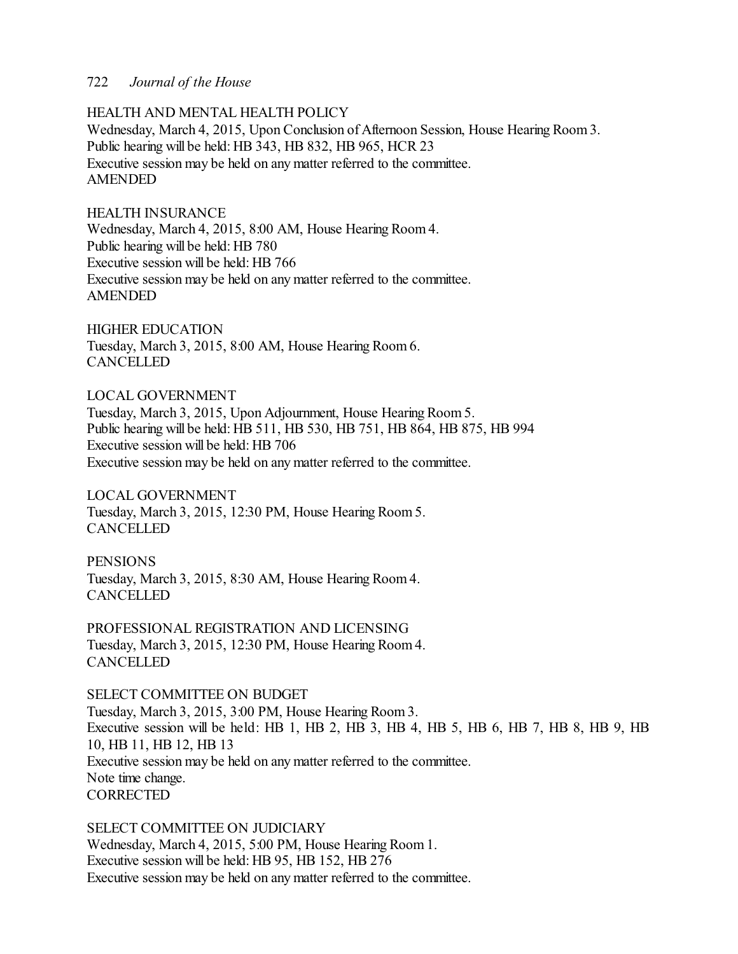# HEALTH AND MENTAL HEALTH POLICY

Wednesday, March 4, 2015, Upon Conclusion of Afternoon Session, House Hearing Room 3. Public hearing will be held: HB 343, HB 832, HB 965, HCR 23 Executive session may be held on any matter referred to the committee. AMENDED

# HEALTH INSURANCE

Wednesday, March 4, 2015, 8:00 AM, House Hearing Room 4. Public hearing will be held: HB 780 Executive session will be held: HB 766 Executive session may be held on any matter referred to the committee. AMENDED

HIGHER EDUCATION Tuesday, March 3, 2015, 8:00 AM, House Hearing Room 6. **CANCELLED** 

LOCAL GOVERNMENT Tuesday, March 3, 2015, Upon Adjournment, House Hearing Room 5. Public hearing will be held: HB 511, HB 530, HB 751, HB 864, HB 875, HB 994 Executive session will be held: HB 706 Executive session may be held on any matter referred to the committee.

LOCAL GOVERNMENT Tuesday, March 3, 2015, 12:30 PM, House Hearing Room 5. CANCELLED

**PENSIONS** Tuesday, March 3, 2015, 8:30 AM, House Hearing Room 4. **CANCELLED** 

PROFESSIONAL REGISTRATION AND LICENSING Tuesday, March 3, 2015, 12:30 PM, House Hearing Room 4. **CANCELLED** 

# SELECT COMMITTEE ON BUDGET

Tuesday, March 3, 2015, 3:00 PM, House Hearing Room 3. Executive session will be held: HB 1, HB 2, HB 3, HB 4, HB 5, HB 6, HB 7, HB 8, HB 9, HB 10, HB 11, HB 12, HB 13 Executive session may be held on any matter referred to the committee. Note time change. **CORRECTED** 

SELECT COMMITTEE ON JUDICIARY Wednesday, March 4, 2015, 5:00 PM, House Hearing Room 1. Executive session will be held: HB 95, HB 152, HB 276 Executive session may be held on any matter referred to the committee.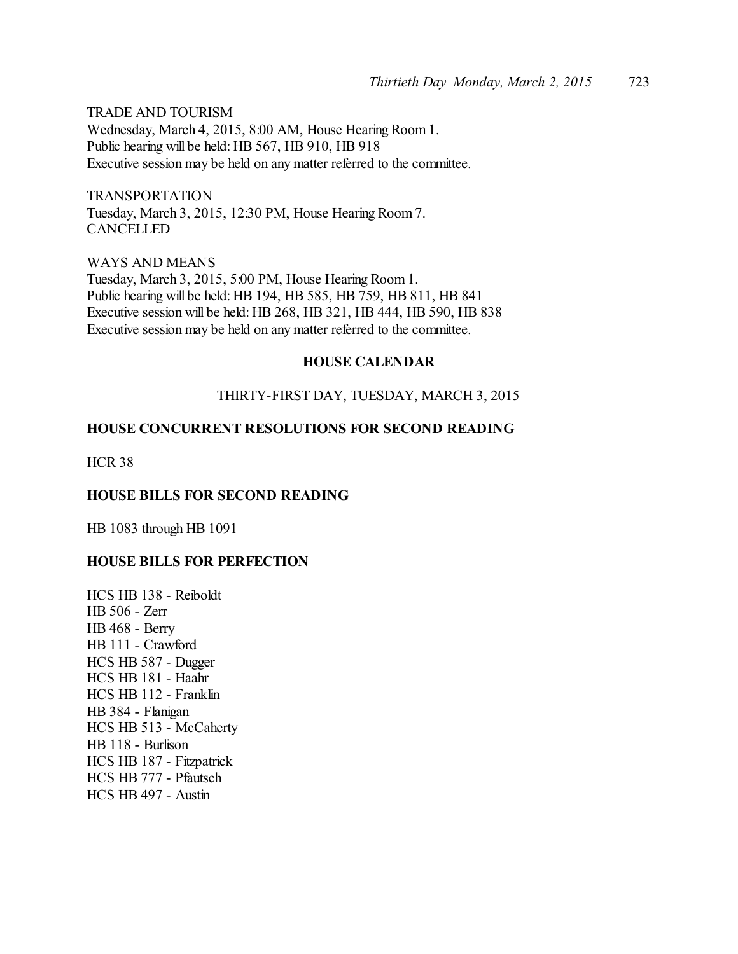TRADE AND TOURISM Wednesday, March 4, 2015, 8:00 AM, House Hearing Room 1. Public hearing will be held: HB 567, HB 910, HB 918 Executive session may be held on any matter referred to the committee.

TRANSPORTATION Tuesday, March 3, 2015, 12:30 PM, House Hearing Room 7. CANCELLED

WAYS AND MEANS Tuesday, March 3, 2015, 5:00 PM, House Hearing Room 1. Public hearing will be held: HB 194, HB 585, HB 759, HB 811, HB 841 Executive session will be held: HB 268, HB 321, HB 444, HB 590, HB 838 Executive session may be held on any matter referred to the committee.

# **HOUSE CALENDAR**

# THIRTY-FIRST DAY, TUESDAY, MARCH 3, 2015

# **HOUSE CONCURRENT RESOLUTIONS FOR SECOND READING**

HCR 38

# **HOUSE BILLS FOR SECOND READING**

HB 1083 through HB 1091

# **HOUSE BILLS FOR PERFECTION**

HCS HB 138 - Reiboldt HB 506 - Zerr HB 468 - Berry HB 111 - Crawford HCS HB 587 - Dugger HCS HB 181 - Haahr HCS HB 112 - Franklin HB 384 - Flanigan HCS HB 513 - McCaherty HB 118 - Burlison HCS HB 187 - Fitzpatrick HCS HB 777 - Pfautsch HCS HB 497 - Austin